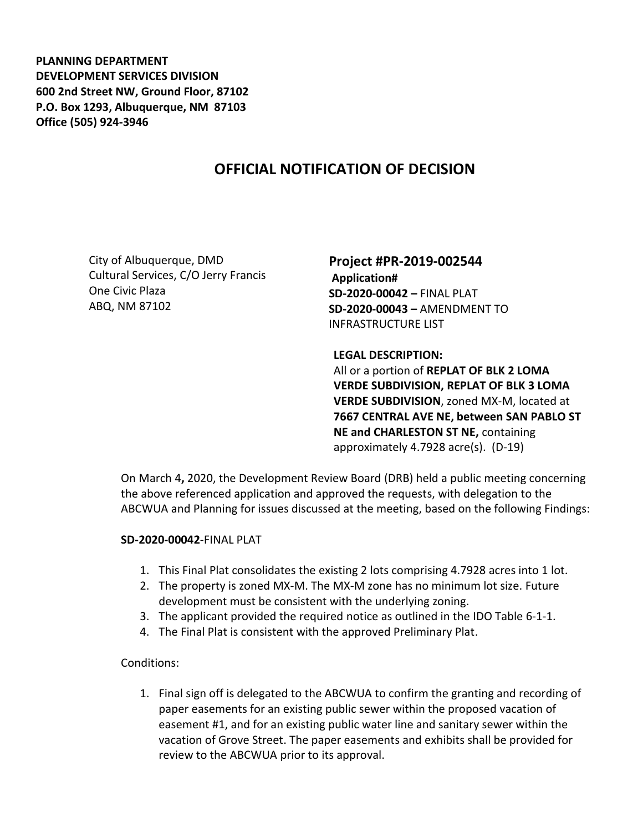**PLANNING DEPARTMENT DEVELOPMENT SERVICES DIVISION 600 2nd Street NW, Ground Floor, 87102 P.O. Box 1293, Albuquerque, NM 87103 Office (505) 924-3946** 

## **OFFICIAL NOTIFICATION OF DECISION**

City of Albuquerque, DMD Cultural Services, C/O Jerry Francis One Civic Plaza ABQ, NM 87102

**Project #PR-2019-002544 Application# SD-2020-00042 –** FINAL PLAT **SD-2020-00043 –** AMENDMENT TO INFRASTRUCTURE LIST

**LEGAL DESCRIPTION:** All or a portion of **REPLAT OF BLK 2 LOMA VERDE SUBDIVISION, REPLAT OF BLK 3 LOMA VERDE SUBDIVISION**, zoned MX-M, located at **7667 CENTRAL AVE NE, between SAN PABLO ST NE and CHARLESTON ST NE,** containing approximately 4.7928 acre(s). (D-19)

On March 4**,** 2020, the Development Review Board (DRB) held a public meeting concerning the above referenced application and approved the requests, with delegation to the ABCWUA and Planning for issues discussed at the meeting, based on the following Findings:

## **SD-2020-00042**-FINAL PLAT

- 1. This Final Plat consolidates the existing 2 lots comprising 4.7928 acres into 1 lot.
- 2. The property is zoned MX-M. The MX-M zone has no minimum lot size. Future development must be consistent with the underlying zoning.
- 3. The applicant provided the required notice as outlined in the IDO Table 6-1-1.
- 4. The Final Plat is consistent with the approved Preliminary Plat.

## Conditions:

1. Final sign off is delegated to the ABCWUA to confirm the granting and recording of paper easements for an existing public sewer within the proposed vacation of easement #1, and for an existing public water line and sanitary sewer within the vacation of Grove Street. The paper easements and exhibits shall be provided for review to the ABCWUA prior to its approval.